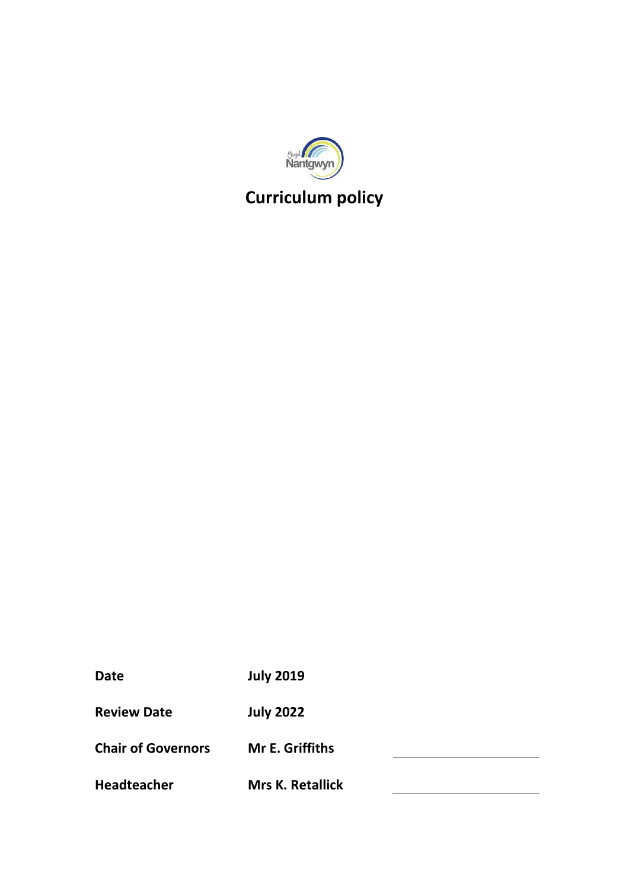

# **Curriculum policy**

| Date | <b>July 2019</b> |
|------|------------------|
|------|------------------|

**Review Date July 2022**

**Chair of Governors Mr E. Griffiths**

**Headteacher Mrs K. Retallick**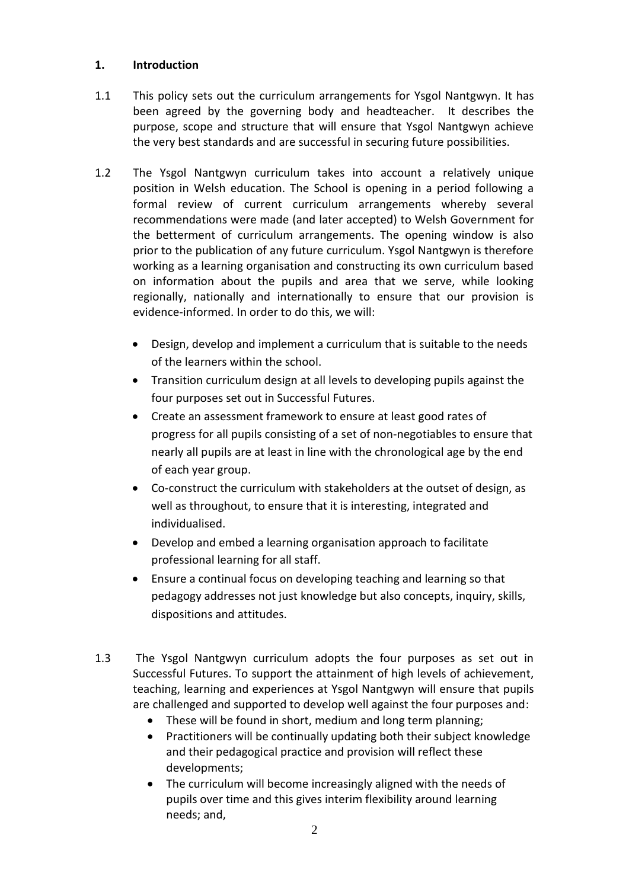## **1. Introduction**

- 1.1 This policy sets out the curriculum arrangements for Ysgol Nantgwyn. It has been agreed by the governing body and headteacher. It describes the purpose, scope and structure that will ensure that Ysgol Nantgwyn achieve the very best standards and are successful in securing future possibilities.
- 1.2 The Ysgol Nantgwyn curriculum takes into account a relatively unique position in Welsh education. The School is opening in a period following a formal review of current curriculum arrangements whereby several recommendations were made (and later accepted) to Welsh Government for the betterment of curriculum arrangements. The opening window is also prior to the publication of any future curriculum. Ysgol Nantgwyn is therefore working as a learning organisation and constructing its own curriculum based on information about the pupils and area that we serve, while looking regionally, nationally and internationally to ensure that our provision is evidence-informed. In order to do this, we will:
	- Design, develop and implement a curriculum that is suitable to the needs of the learners within the school.
	- Transition curriculum design at all levels to developing pupils against the four purposes set out in Successful Futures.
	- Create an assessment framework to ensure at least good rates of progress for all pupils consisting of a set of non-negotiables to ensure that nearly all pupils are at least in line with the chronological age by the end of each year group.
	- Co-construct the curriculum with stakeholders at the outset of design, as well as throughout, to ensure that it is interesting, integrated and individualised.
	- Develop and embed a learning organisation approach to facilitate professional learning for all staff.
	- Ensure a continual focus on developing teaching and learning so that pedagogy addresses not just knowledge but also concepts, inquiry, skills, dispositions and attitudes.
- 1.3 The Ysgol Nantgwyn curriculum adopts the four purposes as set out in Successful Futures. To support the attainment of high levels of achievement, teaching, learning and experiences at Ysgol Nantgwyn will ensure that pupils are challenged and supported to develop well against the four purposes and:
	- These will be found in short, medium and long term planning;
	- Practitioners will be continually updating both their subject knowledge and their pedagogical practice and provision will reflect these developments;
	- The curriculum will become increasingly aligned with the needs of pupils over time and this gives interim flexibility around learning needs; and,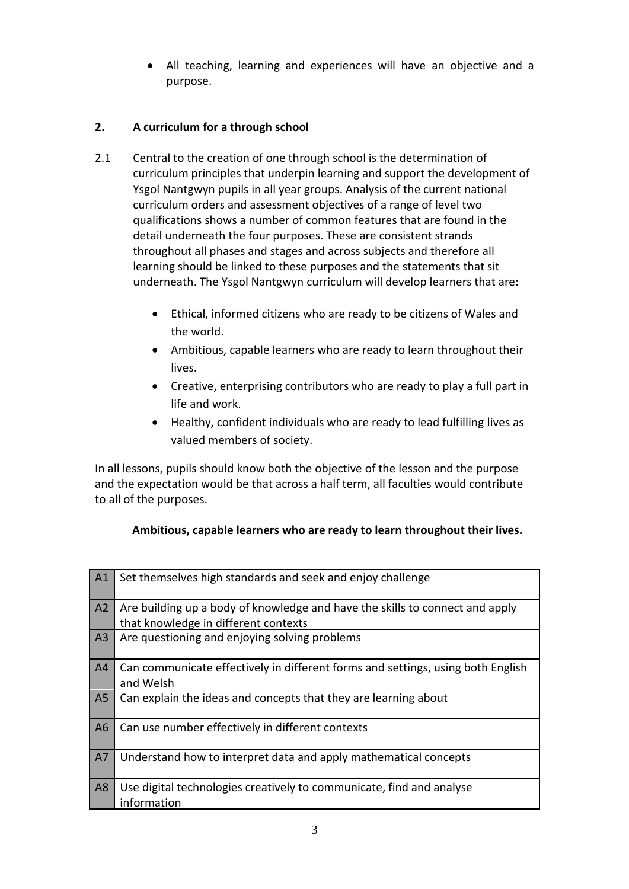All teaching, learning and experiences will have an objective and a purpose.

# **2. A curriculum for a through school**

- 2.1 Central to the creation of one through school is the determination of curriculum principles that underpin learning and support the development of Ysgol Nantgwyn pupils in all year groups. Analysis of the current national curriculum orders and assessment objectives of a range of level two qualifications shows a number of common features that are found in the detail underneath the four purposes. These are consistent strands throughout all phases and stages and across subjects and therefore all learning should be linked to these purposes and the statements that sit underneath. The Ysgol Nantgwyn curriculum will develop learners that are:
	- Ethical, informed citizens who are ready to be citizens of Wales and the world.
	- Ambitious, capable learners who are ready to learn throughout their lives.
	- Creative, enterprising contributors who are ready to play a full part in life and work.
	- Healthy, confident individuals who are ready to lead fulfilling lives as valued members of society.

In all lessons, pupils should know both the objective of the lesson and the purpose and the expectation would be that across a half term, all faculties would contribute to all of the purposes.

# **Ambitious, capable learners who are ready to learn throughout their lives.**

| A1             | Set themselves high standards and seek and enjoy challenge                                                           |
|----------------|----------------------------------------------------------------------------------------------------------------------|
| A2             | Are building up a body of knowledge and have the skills to connect and apply<br>that knowledge in different contexts |
| A3             | Are questioning and enjoying solving problems                                                                        |
| A <sub>4</sub> | Can communicate effectively in different forms and settings, using both English<br>and Welsh                         |
| A <sub>5</sub> | Can explain the ideas and concepts that they are learning about                                                      |
| A <sub>6</sub> | Can use number effectively in different contexts                                                                     |
| A7             | Understand how to interpret data and apply mathematical concepts                                                     |
| A <sub>8</sub> | Use digital technologies creatively to communicate, find and analyse<br>information                                  |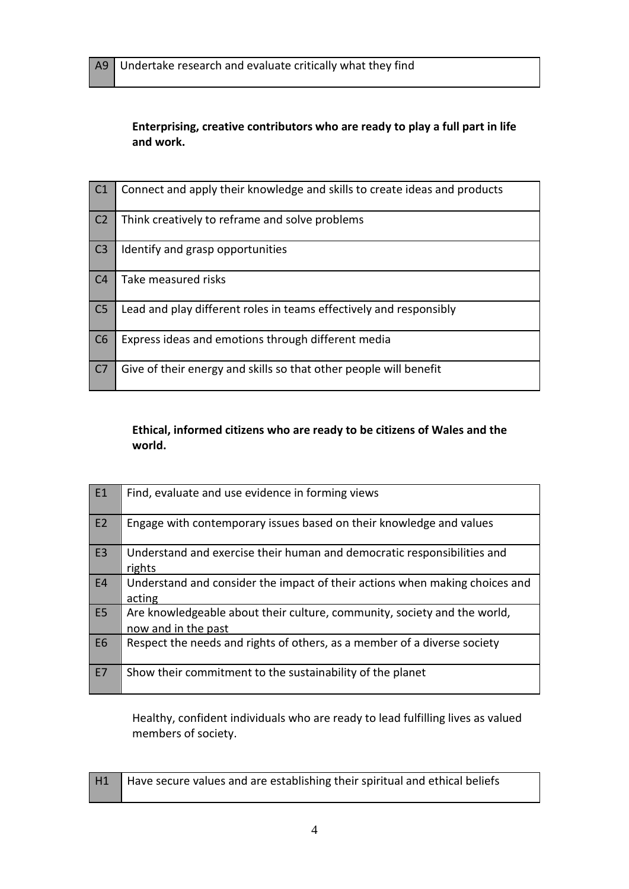**Enterprising, creative contributors who are ready to play a full part in life and work.** 

| $\overline{C1}$ | Connect and apply their knowledge and skills to create ideas and products |
|-----------------|---------------------------------------------------------------------------|
| C <sub>2</sub>  | Think creatively to reframe and solve problems                            |
| C <sub>3</sub>  | Identify and grasp opportunities                                          |
| C <sub>4</sub>  | Take measured risks                                                       |
| C <sub>5</sub>  | Lead and play different roles in teams effectively and responsibly        |
| C6              | Express ideas and emotions through different media                        |
| C <sub>7</sub>  | Give of their energy and skills so that other people will benefit         |

# **Ethical, informed citizens who are ready to be citizens of Wales and the world.**

| E <sub>1</sub> | Find, evaluate and use evidence in forming views                                                |
|----------------|-------------------------------------------------------------------------------------------------|
| E2             | Engage with contemporary issues based on their knowledge and values                             |
| E <sub>3</sub> | Understand and exercise their human and democratic responsibilities and<br>rights               |
| <b>E4</b>      | Understand and consider the impact of their actions when making choices and<br>acting           |
| E <sub>5</sub> | Are knowledgeable about their culture, community, society and the world,<br>now and in the past |
| <b>E6</b>      | Respect the needs and rights of others, as a member of a diverse society                        |
| E7             | Show their commitment to the sustainability of the planet                                       |

Healthy, confident individuals who are ready to lead fulfilling lives as valued members of society.

| H1 | Have secure values and are establishing their spiritual and ethical beliefs |
|----|-----------------------------------------------------------------------------|
|    |                                                                             |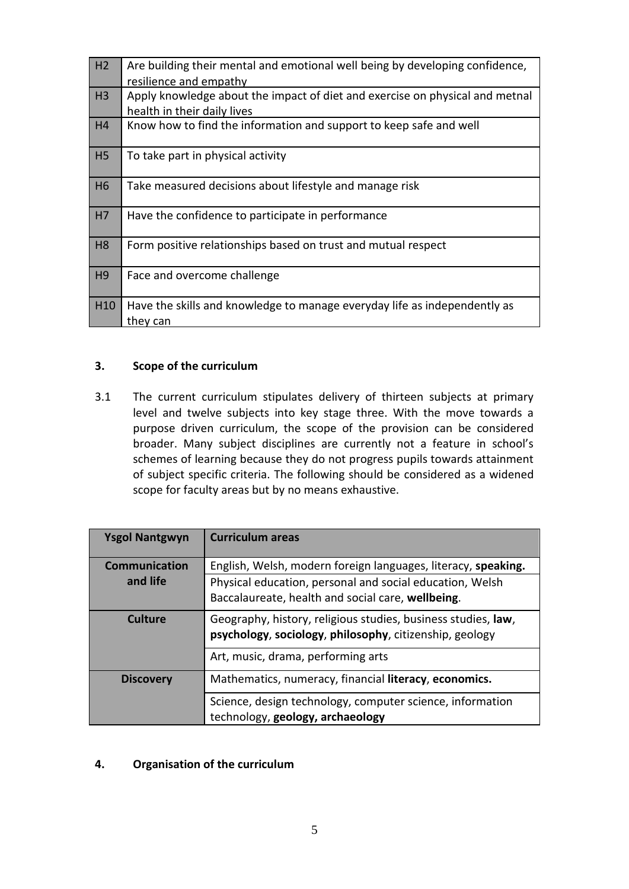| H <sub>2</sub> | Are building their mental and emotional well being by developing confidence,<br>resilience and empathy      |
|----------------|-------------------------------------------------------------------------------------------------------------|
| H <sub>3</sub> | Apply knowledge about the impact of diet and exercise on physical and metnal<br>health in their daily lives |
| H4             | Know how to find the information and support to keep safe and well                                          |
| H <sub>5</sub> | To take part in physical activity                                                                           |
| H <sub>6</sub> | Take measured decisions about lifestyle and manage risk                                                     |
| H7             | Have the confidence to participate in performance                                                           |
| H <sub>8</sub> | Form positive relationships based on trust and mutual respect                                               |
| H <sub>9</sub> | Face and overcome challenge                                                                                 |
| H10            | Have the skills and knowledge to manage everyday life as independently as<br>they can                       |

# **3. Scope of the curriculum**

3.1 The current curriculum stipulates delivery of thirteen subjects at primary level and twelve subjects into key stage three. With the move towards a purpose driven curriculum, the scope of the provision can be considered broader. Many subject disciplines are currently not a feature in school's schemes of learning because they do not progress pupils towards attainment of subject specific criteria. The following should be considered as a widened scope for faculty areas but by no means exhaustive.

| <b>Ysgol Nantgwyn</b> | <b>Curriculum areas</b>                                                                                                  |
|-----------------------|--------------------------------------------------------------------------------------------------------------------------|
| <b>Communication</b>  | English, Welsh, modern foreign languages, literacy, speaking.                                                            |
| and life              | Physical education, personal and social education, Welsh                                                                 |
|                       | Baccalaureate, health and social care, wellbeing.                                                                        |
| Culture               | Geography, history, religious studies, business studies, law,<br>psychology, sociology, philosophy, citizenship, geology |
|                       | Art, music, drama, performing arts                                                                                       |
| <b>Discovery</b>      | Mathematics, numeracy, financial literacy, economics.                                                                    |
|                       | Science, design technology, computer science, information<br>technology, geology, archaeology                            |

#### **4. Organisation of the curriculum**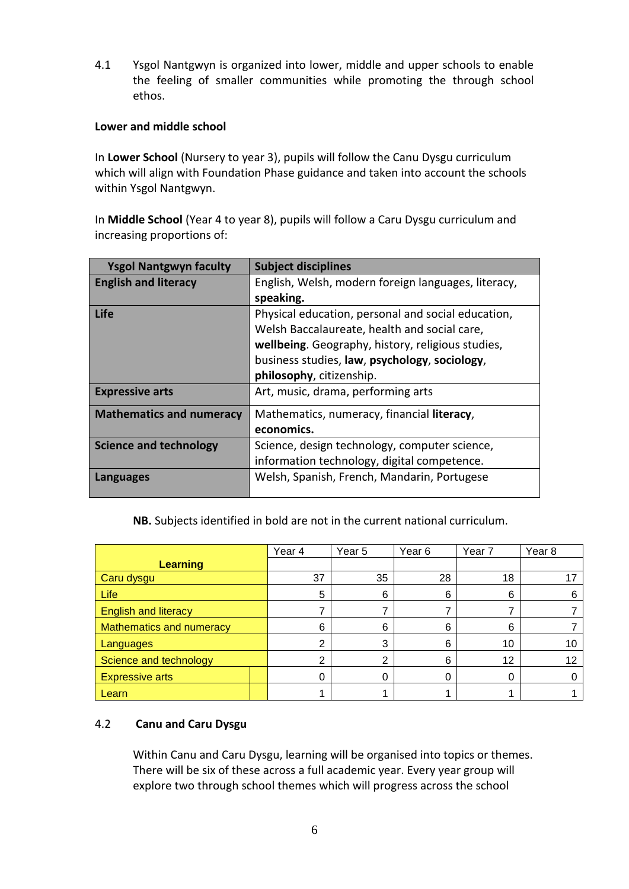4.1 Ysgol Nantgwyn is organized into lower, middle and upper schools to enable the feeling of smaller communities while promoting the through school ethos.

## **Lower and middle school**

In **Lower School** (Nursery to year 3), pupils will follow the Canu Dysgu curriculum which will align with Foundation Phase guidance and taken into account the schools within Ysgol Nantgwyn.

In **Middle School** (Year 4 to year 8), pupils will follow a Caru Dysgu curriculum and increasing proportions of:

| <b>Ysgol Nantgwyn faculty</b>   | <b>Subject disciplines</b>                          |  |  |  |
|---------------------------------|-----------------------------------------------------|--|--|--|
| <b>English and literacy</b>     | English, Welsh, modern foreign languages, literacy, |  |  |  |
|                                 | speaking.                                           |  |  |  |
| Life                            | Physical education, personal and social education,  |  |  |  |
|                                 | Welsh Baccalaureate, health and social care,        |  |  |  |
|                                 | wellbeing. Geography, history, religious studies,   |  |  |  |
|                                 | business studies, law, psychology, sociology,       |  |  |  |
|                                 | philosophy, citizenship.                            |  |  |  |
| <b>Expressive arts</b>          | Art, music, drama, performing arts                  |  |  |  |
| <b>Mathematics and numeracy</b> | Mathematics, numeracy, financial literacy,          |  |  |  |
|                                 | economics.                                          |  |  |  |
| <b>Science and technology</b>   | Science, design technology, computer science,       |  |  |  |
|                                 | information technology, digital competence.         |  |  |  |
| Languages                       | Welsh, Spanish, French, Mandarin, Portugese         |  |  |  |
|                                 |                                                     |  |  |  |

**NB.** Subjects identified in bold are not in the current national curriculum.

|                                 | Year 4 | Year 5         | Year <sub>6</sub> | Year 7 | Year 8 |
|---------------------------------|--------|----------------|-------------------|--------|--------|
| <b>Learning</b>                 |        |                |                   |        |        |
| Caru dysgu                      | 37     | 35             | 28                | 18     |        |
| Life                            | 5      | 6              | 6                 | 6      |        |
| <b>English and literacy</b>     |        |                |                   |        |        |
| <b>Mathematics and numeracy</b> | 6      | 6              | 6                 | 6      |        |
| Languages                       | ົ      | 3              | 6                 | 10     | 10     |
| Science and technology          | ∩      | $\mathfrak{p}$ | 6                 | 12     | 12     |
| <b>Expressive arts</b>          | 0      | 0              | Ω                 |        |        |
| Learn                           |        |                |                   |        |        |

# 4.2 **Canu and Caru Dysgu**

Within Canu and Caru Dysgu, learning will be organised into topics or themes. There will be six of these across a full academic year. Every year group will explore two through school themes which will progress across the school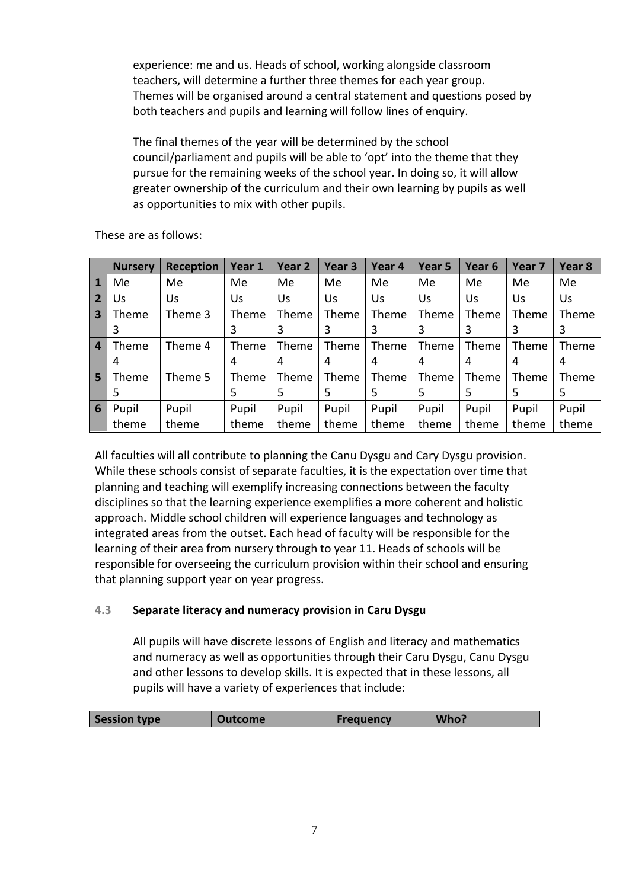experience: me and us. Heads of school, working alongside classroom teachers, will determine a further three themes for each year group. Themes will be organised around a central statement and questions posed by both teachers and pupils and learning will follow lines of enquiry.

The final themes of the year will be determined by the school council/parliament and pupils will be able to 'opt' into the theme that they pursue for the remaining weeks of the school year. In doing so, it will allow greater ownership of the curriculum and their own learning by pupils as well as opportunities to mix with other pupils.

|                         | <b>Nursery</b> | <b>Reception</b> | Year 1 | Year 2 | Year <sub>3</sub> | Year 4 | Year 5 | Year <sub>6</sub> | Year <sub>7</sub> | Year 8 |
|-------------------------|----------------|------------------|--------|--------|-------------------|--------|--------|-------------------|-------------------|--------|
| 1                       | Me             | Me               | Me     | Me     | Me                | Me     | Me     | Me                | Me                | Me     |
| $\overline{2}$          | Us             | Us               | Us     | Us     | Us                | Us     | Us     | Us                | Us                | Us     |
| $\overline{\mathbf{3}}$ | Theme          | Theme 3          | Theme  | Theme  | Theme             | Theme  | Theme  | Theme             | Theme             | Theme  |
|                         | 3              |                  | 3      | 3      | 3                 | 3      | 3      | 3                 | 3                 | 3      |
| $\overline{4}$          | Theme          | Theme 4          | Theme  | Theme  | Theme             | Theme  | Theme  | Theme             | Theme             | Theme  |
|                         | 4              |                  | 4      | 4      | 4                 | 4      | 4      | 4                 | 4                 | 4      |
| 5                       | Theme          | Theme 5          | Theme  | Theme  | Theme             | Theme  | Theme  | Theme             | Theme             | Theme  |
|                         | 5              |                  | 5.     | 5      | 5.                | 5      | 5      | 5                 | 5                 | 5      |
| $6\phantom{1}6$         | Pupil          | Pupil            | Pupil  | Pupil  | Pupil             | Pupil  | Pupil  | Pupil             | Pupil             | Pupil  |
|                         | theme          | theme            | theme  | theme  | theme             | theme  | theme  | theme             | theme             | theme  |

These are as follows:

All faculties will all contribute to planning the Canu Dysgu and Cary Dysgu provision. While these schools consist of separate faculties, it is the expectation over time that planning and teaching will exemplify increasing connections between the faculty disciplines so that the learning experience exemplifies a more coherent and holistic approach. Middle school children will experience languages and technology as integrated areas from the outset. Each head of faculty will be responsible for the learning of their area from nursery through to year 11. Heads of schools will be responsible for overseeing the curriculum provision within their school and ensuring that planning support year on year progress.

# **4.3 Separate literacy and numeracy provision in Caru Dysgu**

All pupils will have discrete lessons of English and literacy and mathematics and numeracy as well as opportunities through their Caru Dysgu, Canu Dysgu and other lessons to develop skills. It is expected that in these lessons, all pupils will have a variety of experiences that include:

| Session type<br>Who?<br><b>Outcome</b><br><b>Frequency</b> |
|------------------------------------------------------------|
|------------------------------------------------------------|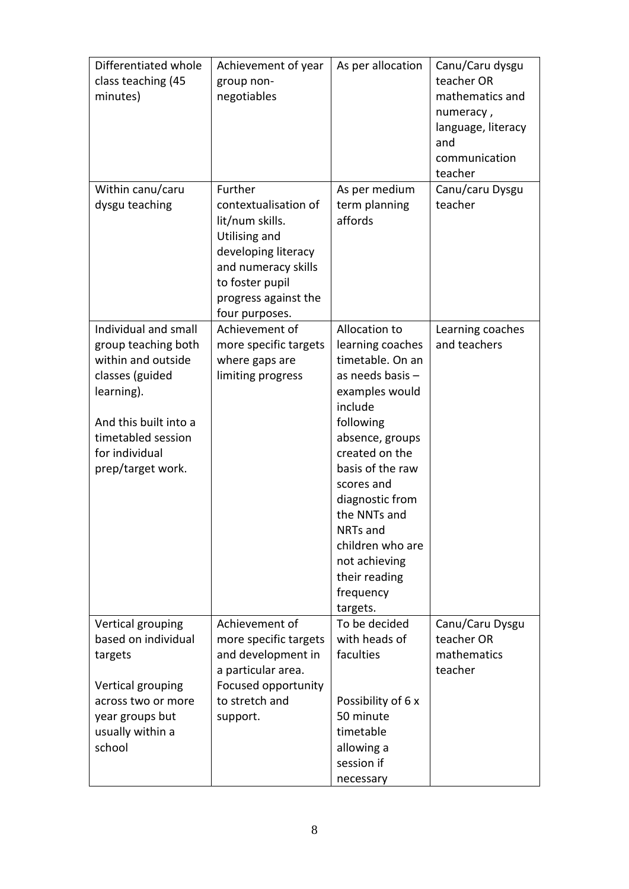| Differentiated whole<br>class teaching (45<br>minutes)                                                                                                                                   | Achievement of year<br>group non-<br>negotiables                                                                                                                               | As per allocation                                                                                                                                                                                                                                                                                                        | Canu/Caru dysgu<br>teacher OR<br>mathematics and<br>numeracy,<br>language, literacy<br>and<br>communication<br>teacher |
|------------------------------------------------------------------------------------------------------------------------------------------------------------------------------------------|--------------------------------------------------------------------------------------------------------------------------------------------------------------------------------|--------------------------------------------------------------------------------------------------------------------------------------------------------------------------------------------------------------------------------------------------------------------------------------------------------------------------|------------------------------------------------------------------------------------------------------------------------|
| Within canu/caru<br>dysgu teaching                                                                                                                                                       | Further<br>contextualisation of<br>lit/num skills.<br>Utilising and<br>developing literacy<br>and numeracy skills<br>to foster pupil<br>progress against the<br>four purposes. | As per medium<br>term planning<br>affords                                                                                                                                                                                                                                                                                | Canu/caru Dysgu<br>teacher                                                                                             |
| Individual and small<br>group teaching both<br>within and outside<br>classes (guided<br>learning).<br>And this built into a<br>timetabled session<br>for individual<br>prep/target work. | Achievement of<br>more specific targets<br>where gaps are<br>limiting progress                                                                                                 | Allocation to<br>learning coaches<br>timetable. On an<br>as needs basis -<br>examples would<br>include<br>following<br>absence, groups<br>created on the<br>basis of the raw<br>scores and<br>diagnostic from<br>the NNTs and<br>NRTs and<br>children who are<br>not achieving<br>their reading<br>frequency<br>targets. | Learning coaches<br>and teachers                                                                                       |
| Vertical grouping<br>based on individual<br>targets<br>Vertical grouping<br>across two or more<br>year groups but<br>usually within a<br>school                                          | Achievement of<br>more specific targets<br>and development in<br>a particular area.<br>Focused opportunity<br>to stretch and<br>support.                                       | To be decided<br>with heads of<br>faculties<br>Possibility of 6 x<br>50 minute<br>timetable<br>allowing a<br>session if<br>necessary                                                                                                                                                                                     | Canu/Caru Dysgu<br>teacher OR<br>mathematics<br>teacher                                                                |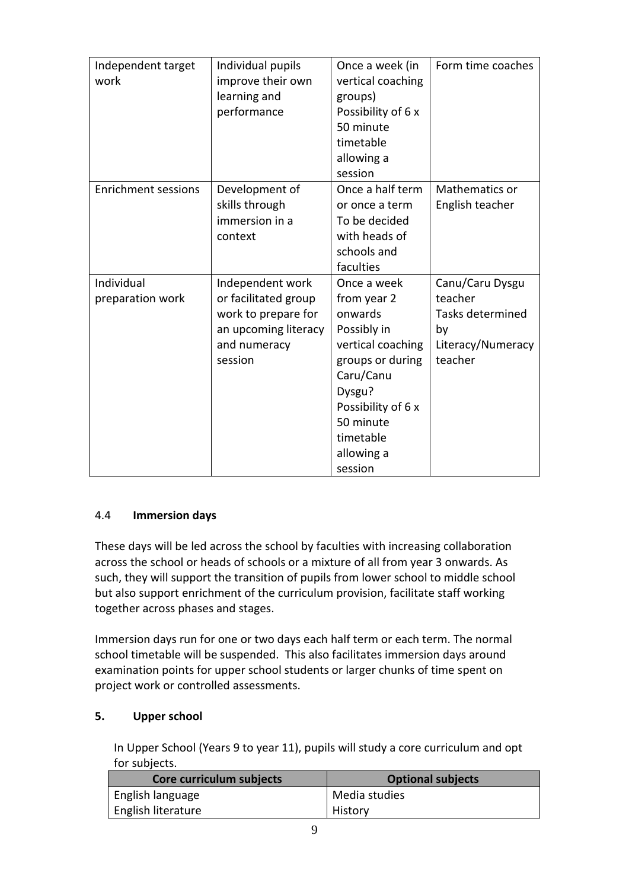| Independent target<br>work     | Individual pupils<br>improve their own<br>learning and<br>performance                                              | Once a week (in<br>vertical coaching<br>groups)<br>Possibility of 6 x<br>50 minute<br>timetable<br>allowing a<br>session                                                                      | Form time coaches                                                                           |
|--------------------------------|--------------------------------------------------------------------------------------------------------------------|-----------------------------------------------------------------------------------------------------------------------------------------------------------------------------------------------|---------------------------------------------------------------------------------------------|
| <b>Enrichment sessions</b>     | Development of<br>skills through<br>immersion in a<br>context                                                      | Once a half term<br>or once a term<br>To be decided<br>with heads of<br>schools and<br>faculties                                                                                              | Mathematics or<br>English teacher                                                           |
| Individual<br>preparation work | Independent work<br>or facilitated group<br>work to prepare for<br>an upcoming literacy<br>and numeracy<br>session | Once a week<br>from year 2<br>onwards<br>Possibly in<br>vertical coaching<br>groups or during<br>Caru/Canu<br>Dysgu?<br>Possibility of 6 x<br>50 minute<br>timetable<br>allowing a<br>session | Canu/Caru Dysgu<br>teacher<br><b>Tasks determined</b><br>by<br>Literacy/Numeracy<br>teacher |

# 4.4 **Immersion days**

These days will be led across the school by faculties with increasing collaboration across the school or heads of schools or a mixture of all from year 3 onwards. As such, they will support the transition of pupils from lower school to middle school but also support enrichment of the curriculum provision, facilitate staff working together across phases and stages.

Immersion days run for one or two days each half term or each term. The normal school timetable will be suspended. This also facilitates immersion days around examination points for upper school students or larger chunks of time spent on project work or controlled assessments.

# **5. Upper school**

In Upper School (Years 9 to year 11), pupils will study a core curriculum and opt for subjects.

| Core curriculum subjects | <b>Optional subjects</b> |
|--------------------------|--------------------------|
| English language         | Media studies            |
| English literature       | History                  |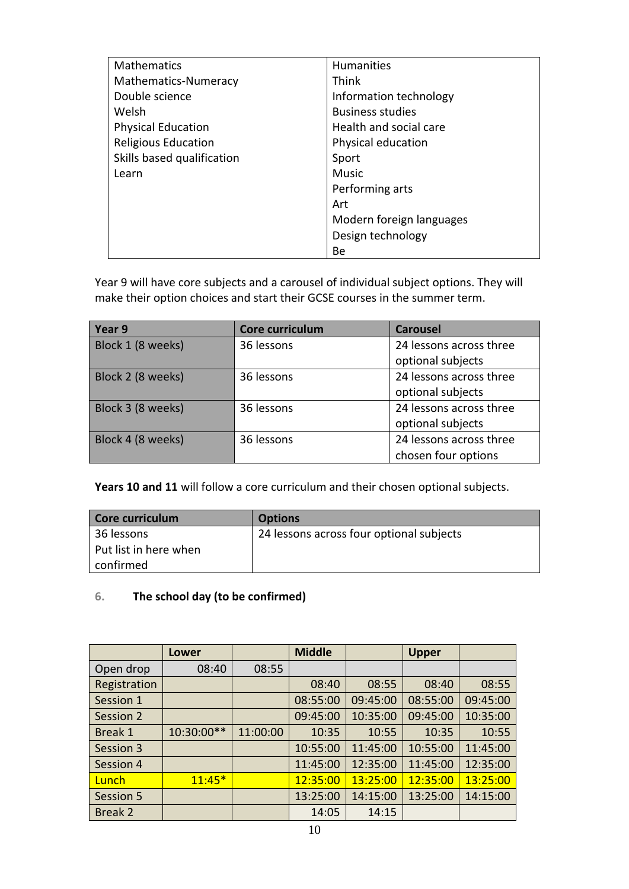| <b>Mathematics</b>         | <b>Humanities</b>        |
|----------------------------|--------------------------|
| Mathematics-Numeracy       | Think                    |
| Double science             | Information technology   |
| Welsh                      | <b>Business studies</b>  |
| <b>Physical Education</b>  | Health and social care   |
| <b>Religious Education</b> | Physical education       |
| Skills based qualification | Sport                    |
| Learn                      | <b>Music</b>             |
|                            | Performing arts          |
|                            | Art                      |
|                            | Modern foreign languages |
|                            | Design technology        |
|                            | Be                       |

Year 9 will have core subjects and a carousel of individual subject options. They will make their option choices and start their GCSE courses in the summer term.

| Year 9            | Core curriculum | <b>Carousel</b>         |
|-------------------|-----------------|-------------------------|
| Block 1 (8 weeks) | 36 lessons      | 24 lessons across three |
|                   |                 | optional subjects       |
| Block 2 (8 weeks) | 36 lessons      | 24 lessons across three |
|                   |                 | optional subjects       |
| Block 3 (8 weeks) | 36 lessons      | 24 lessons across three |
|                   |                 | optional subjects       |
| Block 4 (8 weeks) | 36 lessons      | 24 lessons across three |
|                   |                 | chosen four options     |

**Years 10 and 11** will follow a core curriculum and their chosen optional subjects.

| Core curriculum       | <b>Options</b>                           |
|-----------------------|------------------------------------------|
| 36 lessons            | 24 lessons across four optional subjects |
| Put list in here when |                                          |
| confirmed             |                                          |

# **6. The school day (to be confirmed)**

|              | Lower      |          | <b>Middle</b> |          | <b>Upper</b> |          |
|--------------|------------|----------|---------------|----------|--------------|----------|
| Open drop    | 08:40      | 08:55    |               |          |              |          |
| Registration |            |          | 08:40         | 08:55    | 08:40        | 08:55    |
| Session 1    |            |          | 08:55:00      | 09:45:00 | 08:55:00     | 09:45:00 |
| Session 2    |            |          | 09:45:00      | 10:35:00 | 09:45:00     | 10:35:00 |
| Break 1      | 10:30:00** | 11:00:00 | 10:35         | 10:55    | 10:35        | 10:55    |
| Session 3    |            |          | 10:55:00      | 11:45:00 | 10:55:00     | 11:45:00 |
| Session 4    |            |          | 11:45:00      | 12:35:00 | 11:45:00     | 12:35:00 |
| Lunch        | $11:45*$   |          | 12:35:00      | 13:25:00 | 12:35:00     | 13:25:00 |
| Session 5    |            |          | 13:25:00      | 14:15:00 | 13:25:00     | 14:15:00 |
| Break 2      |            |          | 14:05         | 14:15    |              |          |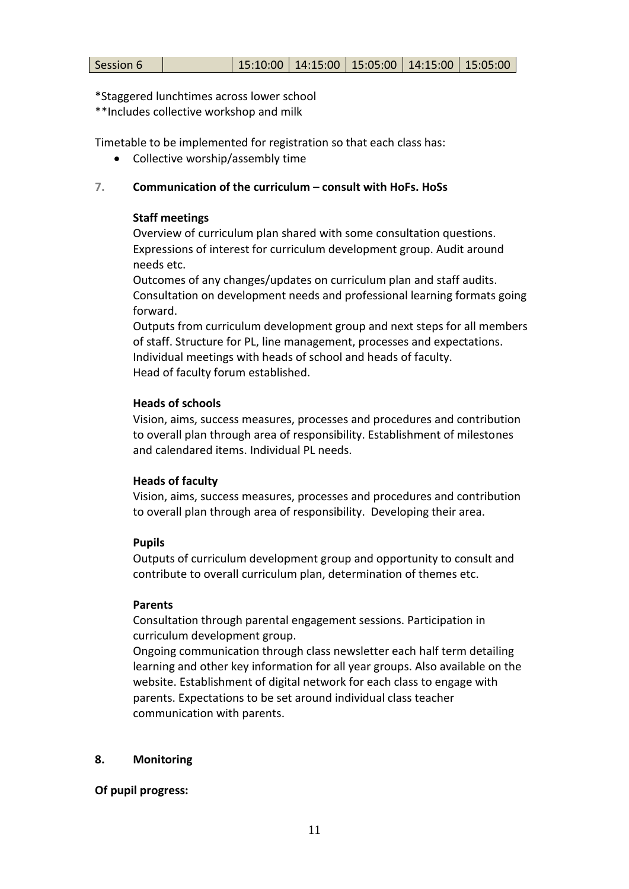| Session 6 | 15:10:00   14:15:00   15:05:00   14:15:00   15:05:00 |  |  |  |  |
|-----------|------------------------------------------------------|--|--|--|--|
|-----------|------------------------------------------------------|--|--|--|--|

\*Staggered lunchtimes across lower school

\*\*Includes collective workshop and milk

Timetable to be implemented for registration so that each class has:

• Collective worship/assembly time

#### **7. Communication of the curriculum – consult with HoFs. HoSs**

#### **Staff meetings**

Overview of curriculum plan shared with some consultation questions. Expressions of interest for curriculum development group. Audit around needs etc.

Outcomes of any changes/updates on curriculum plan and staff audits. Consultation on development needs and professional learning formats going forward.

Outputs from curriculum development group and next steps for all members of staff. Structure for PL, line management, processes and expectations. Individual meetings with heads of school and heads of faculty. Head of faculty forum established.

#### **Heads of schools**

Vision, aims, success measures, processes and procedures and contribution to overall plan through area of responsibility. Establishment of milestones and calendared items. Individual PL needs.

#### **Heads of faculty**

Vision, aims, success measures, processes and procedures and contribution to overall plan through area of responsibility. Developing their area.

#### **Pupils**

Outputs of curriculum development group and opportunity to consult and contribute to overall curriculum plan, determination of themes etc.

#### **Parents**

Consultation through parental engagement sessions. Participation in curriculum development group.

Ongoing communication through class newsletter each half term detailing learning and other key information for all year groups. Also available on the website. Establishment of digital network for each class to engage with parents. Expectations to be set around individual class teacher communication with parents.

#### **8. Monitoring**

#### **Of pupil progress:**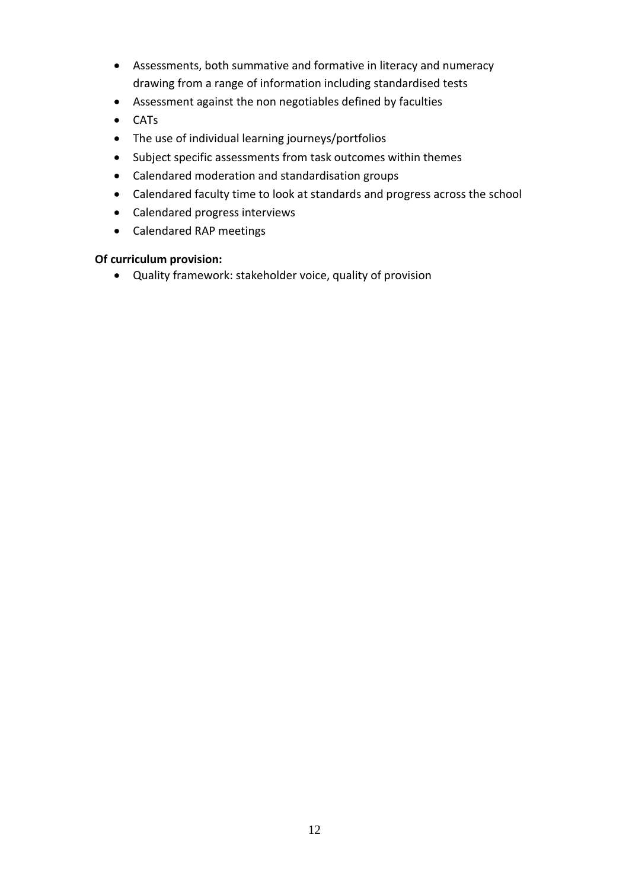- Assessments, both summative and formative in literacy and numeracy drawing from a range of information including standardised tests
- Assessment against the non negotiables defined by faculties
- CATs
- The use of individual learning journeys/portfolios
- Subject specific assessments from task outcomes within themes
- Calendared moderation and standardisation groups
- Calendared faculty time to look at standards and progress across the school
- Calendared progress interviews
- Calendared RAP meetings

# **Of curriculum provision:**

Quality framework: stakeholder voice, quality of provision